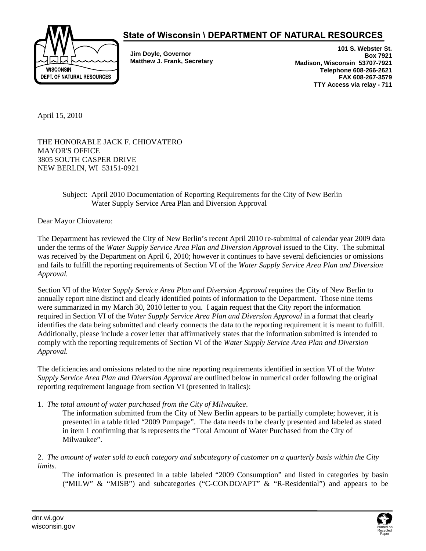

## State of Wisconsin \ DEPARTMENT OF NATURAL RESOURCES

**Jim Doyle, Governor Matthew J. Frank, Secretary** 

**101 S. Webster St. Box 7921 Madison, Wisconsin 53707-7921 Telephone 608-266-2621 FAX 608-267-3579 TTY Access via relay - 711** 

April 15, 2010

THE HONORABLE JACK F. CHIOVATERO MAYOR'S OFFICE 3805 SOUTH CASPER DRIVE NEW BERLIN, WI 53151-0921

## Subject: April 2010 Documentation of Reporting Requirements for the City of New Berlin Water Supply Service Area Plan and Diversion Approval

Dear Mayor Chiovatero:

The Department has reviewed the City of New Berlin's recent April 2010 re-submittal of calendar year 2009 data under the terms of the *Water Supply Service Area Plan and Diversion Approval* issued to the City. The submittal was received by the Department on April 6, 2010; however it continues to have several deficiencies or omissions and fails to fulfill the reporting requirements of Section VI of the *Water Supply Service Area Plan and Diversion Approval.*

Section VI of the *Water Supply Service Area Plan and Diversion Approval* requires the City of New Berlin to annually report nine distinct and clearly identified points of information to the Department. Those nine items were summarized in my March 30, 2010 letter to you. I again request that the City report the information required in Section VI of the *Water Supply Service Area Plan and Diversion Approval* in a format that clearly identifies the data being submitted and clearly connects the data to the reporting requirement it is meant to fulfill. Additionally, please include a cover letter that affirmatively states that the information submitted is intended to comply with the reporting requirements of Section VI of the *Water Supply Service Area Plan and Diversion Approval.* 

The deficiencies and omissions related to the nine reporting requirements identified in section VI of the *Water Supply Service Area Plan and Diversion Approval* are outlined below in numerical order following the original reporting requirement language from section VI (presented in italics):

1. *The total amount of water purchased from the City of Milwaukee*.

The information submitted from the City of New Berlin appears to be partially complete; however, it is presented in a table titled "2009 Pumpage". The data needs to be clearly presented and labeled as stated in item 1 confirming that is represents the "Total Amount of Water Purchased from the City of Milwaukee".

2. *The amount of water sold to each category and subcategory of customer on a quarterly basis within the City limits.*

The information is presented in a table labeled "2009 Consumption" and listed in categories by basin ("MILW" & "MISB") and subcategories ("C-CONDO/APT" & "R-Residential") and appears to be

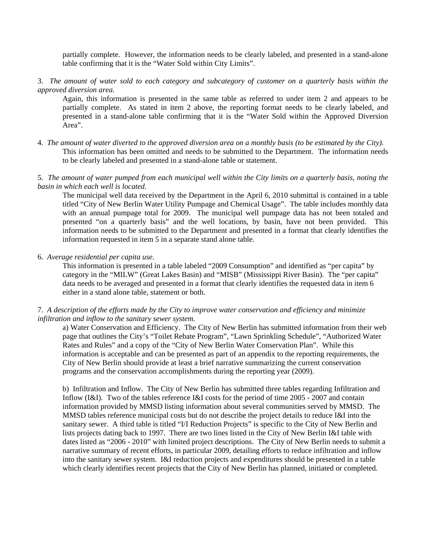partially complete. However, the information needs to be clearly labeled, and presented in a stand-alone table confirming that it is the "Water Sold within City Limits".

3. *The amount of water sold to each category and subcategory of customer on a quarterly basis within the approved diversion area.* 

Again, this information is presented in the same table as referred to under item 2 and appears to be partially complete. As stated in item 2 above, the reporting format needs to be clearly labeled, and presented in a stand-alone table confirming that it is the "Water Sold within the Approved Diversion Area".

- 4. *The amount of water diverted to the approved diversion area on a monthly basis (to be estimated by the City).*  This information has been omitted and needs to be submitted to the Department. The information needs to be clearly labeled and presented in a stand-alone table or statement.
- 5. *The amount of water pumped from each municipal well within the City limits on a quarterly basis, noting the basin in which each well is located*.

The municipal well data received by the Department in the April 6, 2010 submittal is contained in a table titled "City of New Berlin Water Utility Pumpage and Chemical Usage". The table includes monthly data with an annual pumpage total for 2009. The municipal well pumpage data has not been totaled and presented "on a quarterly basis" and the well locations, by basin, have not been provided. This information needs to be submitted to the Department and presented in a format that clearly identifies the information requested in item 5 in a separate stand alone table.

6. *Average residential per capita use*.

This information is presented in a table labeled "2009 Consumption" and identified as "per capita" by category in the "MILW" (Great Lakes Basin) and "MISB" (Mississippi River Basin). The "per capita" data needs to be averaged and presented in a format that clearly identifies the requested data in item 6 either in a stand alone table, statement or both.

7. *A description of the efforts made by the City to improve water conservation and efficiency and minimize infiltration and inflow to the sanitary sewer system.* 

a) Water Conservation and Efficiency. The City of New Berlin has submitted information from their web page that outlines the City's "Toilet Rebate Program", "Lawn Sprinkling Schedule", "Authorized Water Rates and Rules" and a copy of the "City of New Berlin Water Conservation Plan". While this information is acceptable and can be presented as part of an appendix to the reporting requirements, the City of New Berlin should provide at least a brief narrative summarizing the current conservation programs and the conservation accomplishments during the reporting year (2009).

b) Infiltration and Inflow. The City of New Berlin has submitted three tables regarding Infiltration and Inflow (I&I). Two of the tables reference I&I costs for the period of time 2005 - 2007 and contain information provided by MMSD listing information about several communities served by MMSD. The MMSD tables reference municipal costs but do not describe the project details to reduce I&I into the sanitary sewer. A third table is titled "I/I Reduction Projects" is specific to the City of New Berlin and lists projects dating back to 1997. There are two lines listed in the City of New Berlin I&I table with dates listed as "2006 - 2010" with limited project descriptions. The City of New Berlin needs to submit a narrative summary of recent efforts, in particular 2009, detailing efforts to reduce infiltration and inflow into the sanitary sewer system. I&I reduction projects and expenditures should be presented in a table which clearly identifies recent projects that the City of New Berlin has planned, initiated or completed.